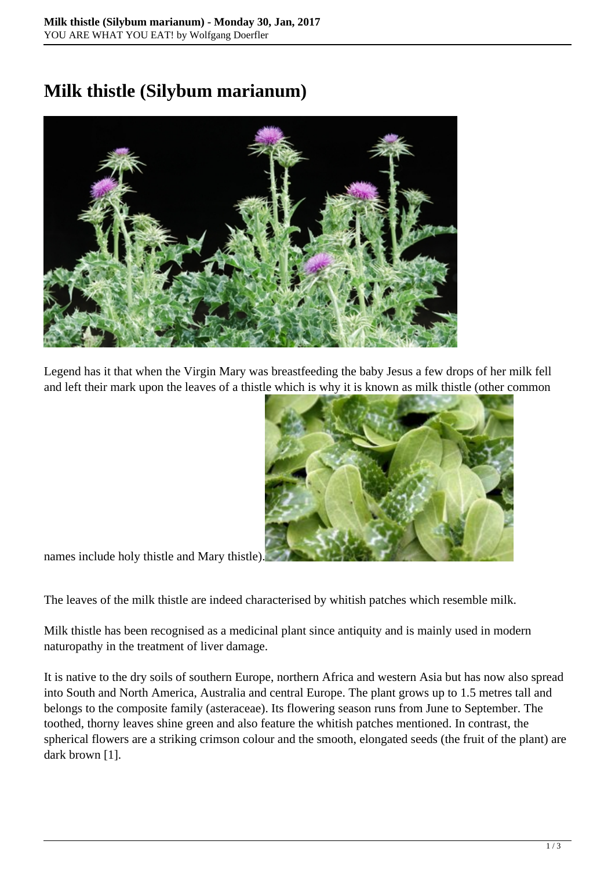## **Milk thistle (Silybum marianum)**



Legend has it that when the Virgin Mary was breastfeeding the baby Jesus a few drops of her milk fell and left their mark upon the leaves of a thistle which is why it is known as milk thistle (other common



names include holy thistle and Mary thistle).

The leaves of the milk thistle are indeed characterised by whitish patches which resemble milk.

Milk thistle has been recognised as a medicinal plant since antiquity and is mainly used in modern naturopathy in the treatment of liver damage.

It is native to the dry soils of southern Europe, northern Africa and western Asia but has now also spread into South and North America, Australia and central Europe. The plant grows up to 1.5 metres tall and belongs to the composite family (asteraceae). Its flowering season runs from June to September. The toothed, thorny leaves shine green and also feature the whitish patches mentioned. In contrast, the spherical flowers are a striking crimson colour and the smooth, elongated seeds (the fruit of the plant) are dark brown [1].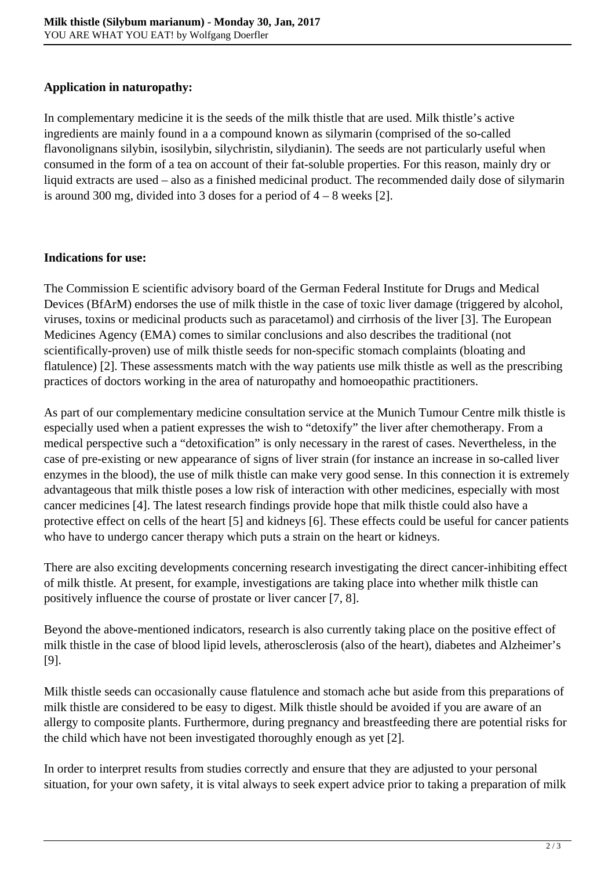## **Application in naturopathy:**

In complementary medicine it is the seeds of the milk thistle that are used. Milk thistle's active ingredients are mainly found in a a compound known as silymarin (comprised of the so-called flavonolignans silybin, isosilybin, silychristin, silydianin). The seeds are not particularly useful when consumed in the form of a tea on account of their fat-soluble properties. For this reason, mainly dry or liquid extracts are used – also as a finished medicinal product. The recommended daily dose of silymarin is around 300 mg, divided into 3 doses for a period of 4 – 8 weeks [2].

## **Indications for use:**

The Commission E scientific advisory board of the German Federal Institute for Drugs and Medical Devices (BfArM) endorses the use of milk thistle in the case of toxic liver damage (triggered by alcohol, viruses, toxins or medicinal products such as paracetamol) and cirrhosis of the liver [3]. The European Medicines Agency (EMA) comes to similar conclusions and also describes the traditional (not scientifically-proven) use of milk thistle seeds for non-specific stomach complaints (bloating and flatulence) [2]. These assessments match with the way patients use milk thistle as well as the prescribing practices of doctors working in the area of naturopathy and homoeopathic practitioners.

As part of our complementary medicine consultation service at the Munich Tumour Centre milk thistle is especially used when a patient expresses the wish to "detoxify" the liver after chemotherapy. From a medical perspective such a "detoxification" is only necessary in the rarest of cases. Nevertheless, in the case of pre-existing or new appearance of signs of liver strain (for instance an increase in so-called liver enzymes in the blood), the use of milk thistle can make very good sense. In this connection it is extremely advantageous that milk thistle poses a low risk of interaction with other medicines, especially with most cancer medicines [4]. The latest research findings provide hope that milk thistle could also have a protective effect on cells of the heart [5] and kidneys [6]. These effects could be useful for cancer patients who have to undergo cancer therapy which puts a strain on the heart or kidneys.

There are also exciting developments concerning research investigating the direct cancer-inhibiting effect of milk thistle. At present, for example, investigations are taking place into whether milk thistle can positively influence the course of prostate or liver cancer [7, 8].

Beyond the above-mentioned indicators, research is also currently taking place on the positive effect of milk thistle in the case of blood lipid levels, atherosclerosis (also of the heart), diabetes and Alzheimer's [9].

Milk thistle seeds can occasionally cause flatulence and stomach ache but aside from this preparations of milk thistle are considered to be easy to digest. Milk thistle should be avoided if you are aware of an allergy to composite plants. Furthermore, during pregnancy and breastfeeding there are potential risks for the child which have not been investigated thoroughly enough as yet [2].

In order to interpret results from studies correctly and ensure that they are adjusted to your personal situation, for your own safety, it is vital always to seek expert advice prior to taking a preparation of milk